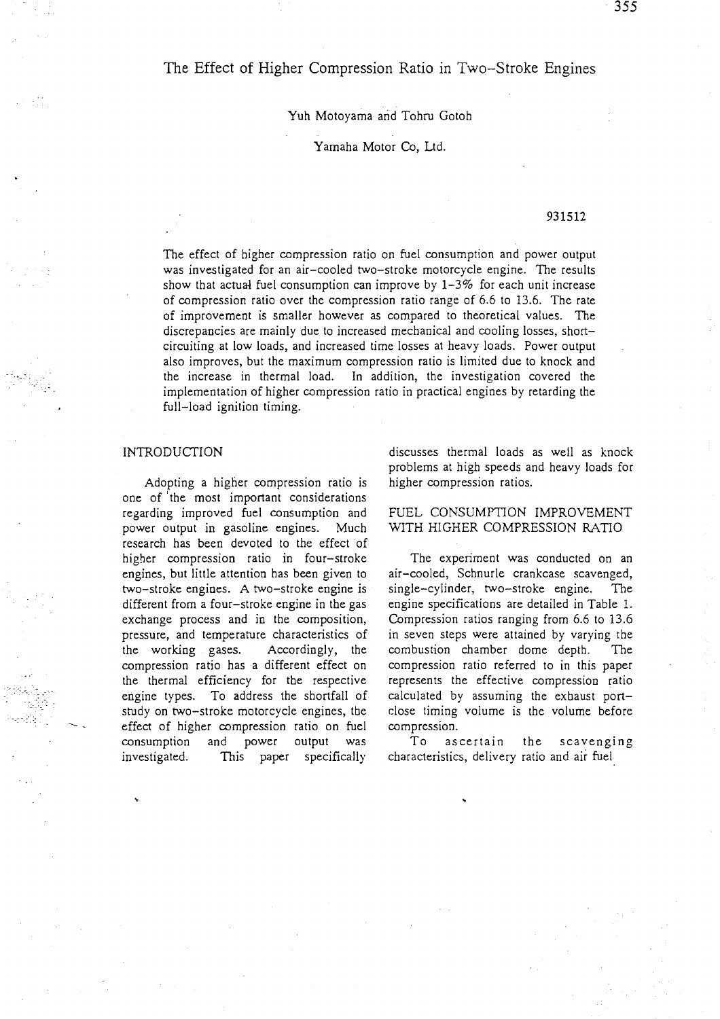# The Effect of Higher Compression Ratio in Two-Stroke Engines

Yuh Motoyama and Tohru Gotoh

Yamaha Motor Co, Ltd.

## 931512

The effect of higher compression ratio on fuel consumption and power output was investigated for an air-cooled two-stroke motorcycle engine. The results show that actual fuel consumption can improve by  $1-3\%$  for each unit increase of compression ratio over the compression ratio range of 6.6 to 13.6. The rate of improvement is smaller however as compared to theoretical values. The discrepancies are mainly due to increased mechanical and cooling losses, shortcircuiting at low loads, and increased time losses at heavy loads. Power output also improves, but the maximum compression ratio is limited due to knock and the increase in thermal load. In addition, the investigation covered the implementation of higher compression ratio in practical engines by retarding the full-load ignition timing.

#### INTRODUCTION

Adopting a higher compression ratio is one of 'the most important considerations regarding improved fuel consumption and power output in gasoline engines. Much research has been devoted to the effect of higher compression ratio in four-stroke engines, but little attention has been given to two-stroke engines. A two-stroke engine is different from a four-stroke engine in the gas exchange process and in the composition, pressure, and temperature characteristics of the working gases. Accordingly, the compression ratio has a different effect on the thermal efficiency for the respective engine types. To address the shortfall of study on two-stroke motorcycle engines, the effect of higher compression ratio on fuel consumption and power output was investigated. This paper specifically discusses thermal loads as well as knock problems at high speeds and heavy loads for higher compression ratios.

FUEL CONSUMPTION IMPROVEMENT WITH HIGHER COMPRESSION RATIO

The experiment was conducted on an air-cooled, Schnurle crankcase scavenged, single-cylinder, two-stroke engine. The engine specifications are detailed in Table 1. Compression ratios ranging from 6.6 to 13.6 in seven steps were attained by varying the combustion chamber dome depth. The compression ratio referred to in this paper represents the effective compression ratio calculated by assuming the exhaust portclose timing volume is the volume before compression.

To ascertain the scavenging characteristics, delivery ratio and air fuel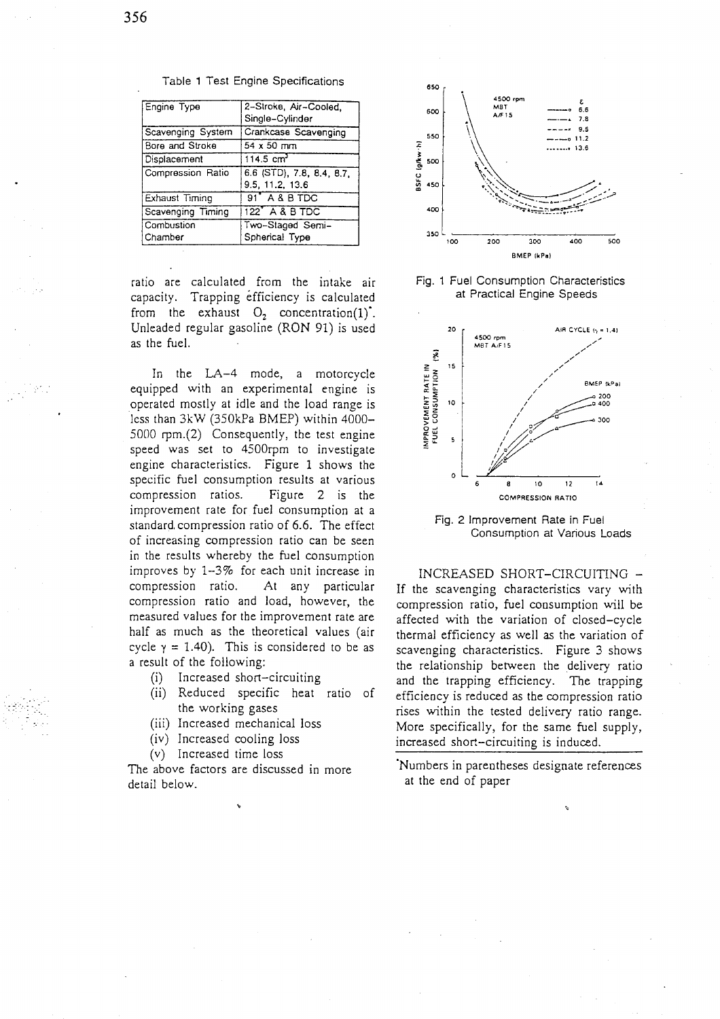| Engine Type       | 2-Stroke, Air-Cooled,<br>Single-Cylinder     |
|-------------------|----------------------------------------------|
| Scavenging System | Crankcase Scavenging                         |
| Bore and Stroke   | 54 x 50 mm                                   |
| Displacement      | 114.5 $cm3$                                  |
| Compression Ratio | 6.6 (STD), 7.8, 8.4, 8.7,<br>9.5, 11.2, 13.6 |
| Exhaust Timing    | 91 <sup>*</sup> A & B TDC                    |
| Scavenging Timing | 122 A & B TDC                                |
| Combustion        | Two-Staged Semi-                             |
| Chamber           | Spherical Type                               |

Table 1 Test Engine Specifications

ratio are calculated from the intake air capacity. Trapping efficiency is calculated from the exhaust  $O_2$  concentration(1). Unleaded regular gasoline (RON 91) is used as the fuel.

In the LA-4 mode, a motorcycle equipped with an experimental engine is operated mostly at idle and the load range is less than 3kW (350kPa BMEP) within 4000-5000 rpm.(2) Consequently, the test engine speed was set to 4500rpm to investigate engine characteristics. Figure 1 shows the specific fuel consumption results at various compression ratios. Figure 2 is the improvement rate for fuel consumption at a standard compression ratio of 6.6. The effect of increasing compression ratio can be seen in the results whereby the fuel consumption improves by 1-3% for each unit increase in compression ratio. At any particular compression ratio and load, however, the measured values for the improvement rate are half as much as the theoretical values (air cycle  $y = 1.40$ ). This is considered to be as a result of the following:

- Increased short-circuiting  $(i)$
- (ii) Reduced specific heat ratio of the working gases
- (iii) Increased mechanical loss
- (iv) Increased cooling loss
- (v) Increased time loss

The above factors are discussed in more detail below.



Fig. 1 Fuel Consumption Characteristics at Practical Engine Speeds



Fig. 2 Improvement Rate in Fuel Consumption at Various Loads

INCREASED SHORT-CIRCUITING -If the scavenging characteristics vary with compression ratio, fuel consumption will be affected with the variation of closed-cycle thermal efficiency as well as the variation of scavenging characteristics. Figure 3 shows the relationship between the delivery ratio and the trapping efficiency. The trapping efficiency is reduced as the compression ratio rises within the tested delivery ratio range. More specifically, for the same fuel supply, increased short-circuiting is induced.

Numbers in parentheses designate references at the end of paper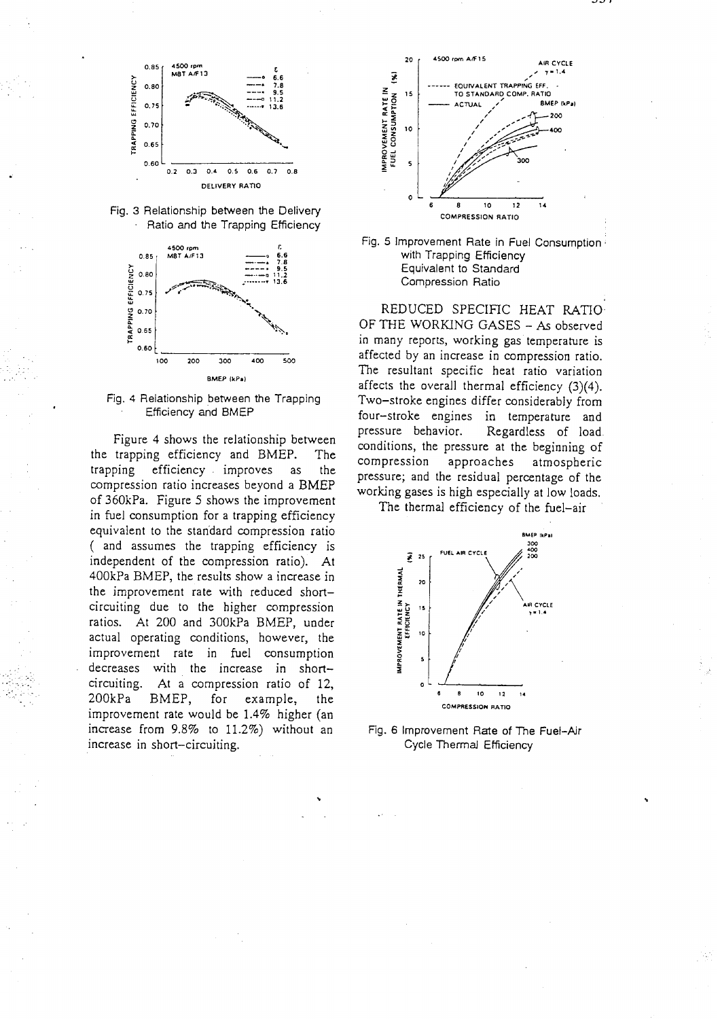





Fig. 4 Relationship between the Trapping Efficiency and BMEP

Figure 4 shows the relationship between the trapping efficiency and BMEP. The trapping efficiency improves as the compression ratio increases beyond a BMEP of 360kPa. Figure 5 shows the improvement in fuel consumption for a trapping efficiency equivalent to the standard compression ratio (and assumes the trapping efficiency is independent of the compression ratio). At 400kPa BMEP, the results show a increase in the improvement rate with reduced shortcircuiting due to the higher compression ratios. At 200 and 300kPa BMEP, under actual operating conditions, however, the improvement rate in fuel consumption decreases with the increase in shortcircuiting. At a compression ratio of 12,  $200kPa$ BMEP, for example, the improvement rate would be 1.4% higher (an increase from 9.8% to 11.2%) without an increase in short-circuiting.





REDUCED SPECIFIC HEAT RATIO OF THE WORKING GASES - As observed in many reports, working gas temperature is affected by an increase in compression ratio. The resultant specific heat ratio variation affects the overall thermal efficiency  $(3)(4)$ . Two-stroke engines differ considerably from four-stroke engines in temperature and pressure behavior. Regardless of load. conditions, the pressure at the beginning of compression approaches atmospheric pressure; and the residual percentage of the working gases is high especially at low loads.

The thermal efficiency of the fuel-air



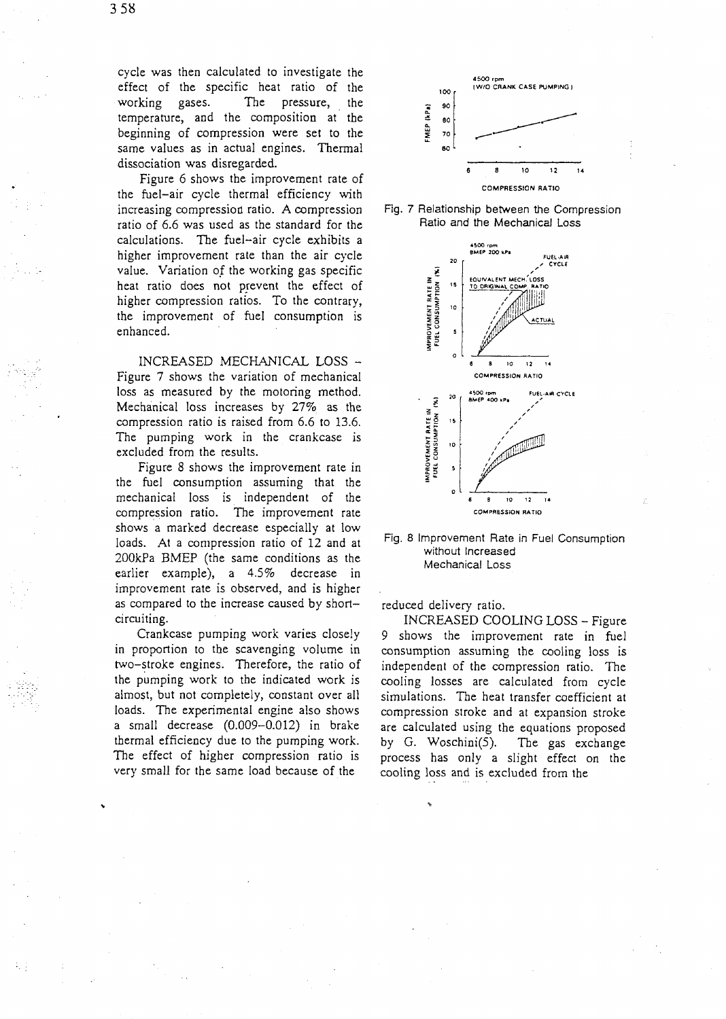cycle was then calculated to investigate the effect of the specific heat ratio of the working gases. The pressure, the temperature, and the composition at' the beginning of compression were set to the same values as in actual engines. Thermal dissociation was disregarded.

Figure 6 shows the improvement rate of the fuel-air cycle thermal efficiency with increasing compression ratio. A compression ratio of 6.6 was used as the standard for the calculations. The fuel-air cycle exhibits a higher improvement rate than the air cycle value. Variation of the working gas specific heat ratio does not prevent the effect of higher compression ratios. To the contrary, the improvement of fuel consumption is enhanced.

INCREASED MECHANICAL LOSS - Figure 7 shows the variation of mechanical loss as measured by the motoring method. Mechanical loss increases by 27% as the compression ratio is raised from 6.6 to 13.6. The pumping work in the crankcase is excluded from the results.

Figure 8 shows the improvement rate in the fuel consumption assuming that the mechanical loss is independent of the compression ratio. The improvement rate shows a marked decrease especially at low loads. At a compression ratio of 12 and at 200kPa BMEP (the same conditions as the earlier example), a 4.5% decrease in improvement rate is observed, and is higher as compared to the increase caused by shortcircuiting.

Crankcase pumping work varies closely in proportion to the scavenging volume in two-stroke engines. Therefore, the ratio of the pumping work to the indicated work is almost, but not completely, constant over all loads. The experimental engine also shows a small decrease (0.009-0.012) in brake thermal efficiency due to the pumping work. The effect of higher compression ratio is very small for the same load because of the







#### Fig. **8** Improvement Rate in Fuel Consumption without Increased Mechanical Loss

reduced delivery ratio.

INCREASED COOLING LOSS - Figure 9 shows the improvement rate in fuel consumption assuming the cooling loss is independent of the compression ratio. The cooling losses are calculated from cycle simulations. The heat transfer coefficient at compression stroke and at expansion stroke are calculated using the equations proposed by G. Woschini(5). The gas exchange process has only a slight effect on the cooling loss and is excluded from the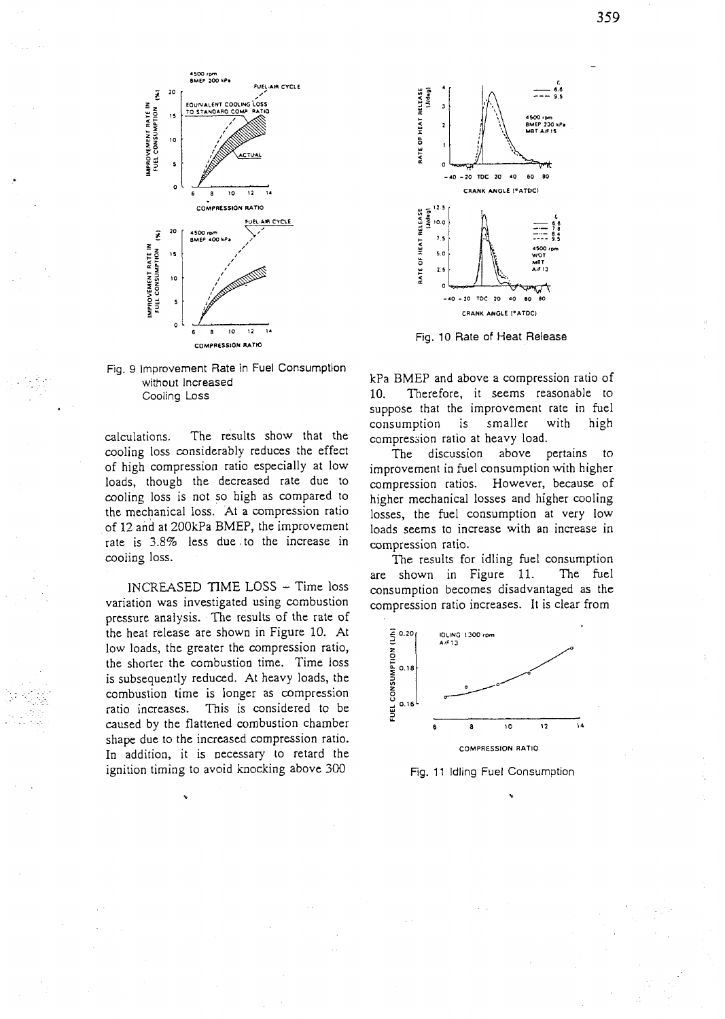



calculations. The results show that the cooling loss considerably reduces the effect of high compression ratio especially at low loads, though the decreased rate due to cooling loss is not so high as compared to the mechanical loss. At a compression ratio of 12 and at 200kPa BMEP, the improvement rate is 3.8% less due. to the increase in cooling loss.

INCREASED TIME LOSS - Time loss variation was investigated using combustion pressure analysis. The results of the rate of the heat release are shown in Figure 10. At low loads, the greater the compression ratio, the shorter the combustion time. Time loss is subsequently reduced. At heavy loads, the combustion time is longer as compression ratio increases. This is considered to be caused by the flattened combustion chamber shape due to the increased compression ratio. In addition, it is necessary to retard the ignition timing to avoid knocking above 300



Fig. 10 Rate of Heat Release

kPa BMEP and above a compression ratio of 10. Therefore, it seems reasonable to suppose that the improvement rate in fuel consumption is smaller with high compression ratio at heavy load.

The discussion above pertains to improvement in fuel consumption with higher compression ratios. However, because of higher mechanical losses and higher cooling losses, the fuel consumption at very low loads seems to increase with an increase in compression ratio.

The results for idling fuel consumption are shown in Figure 11. The fuel consumption becomes disadvantaged as the compression ratio increases. It is clear from



Fig. 11 Idling Fuel Consumption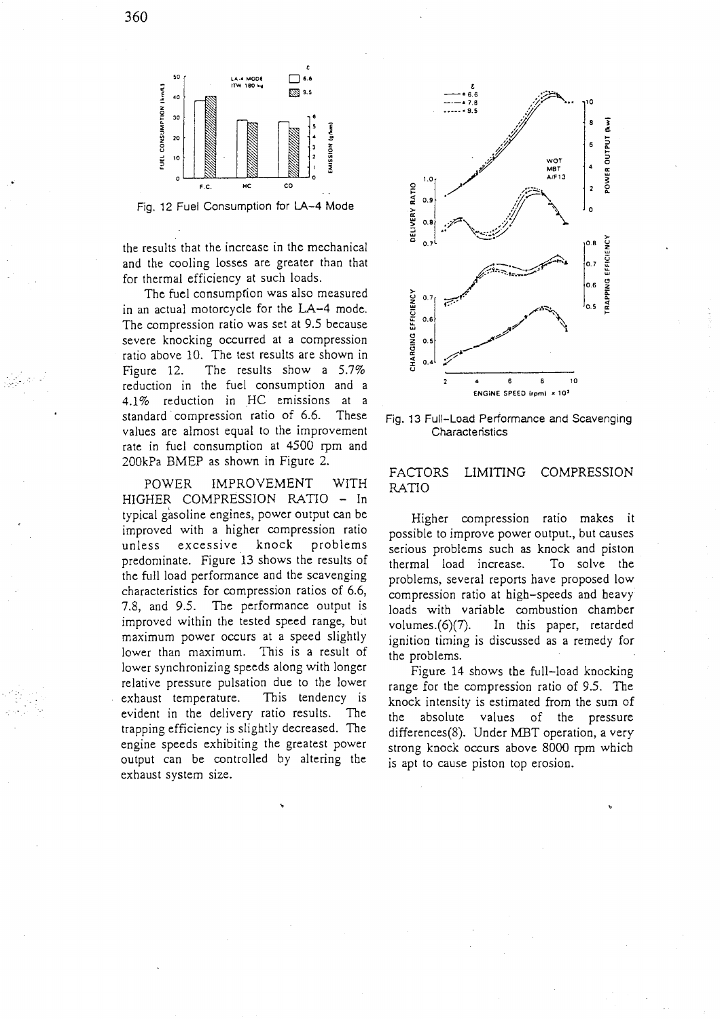

Fig. 12 Fuel Consumption for **LA-4** Mode

the results that the increase in the mechanical and the cooling losses are greater than that for thermal efficiency at such loads.

The fuel consumpfion was also measured in an actual motorcycle for the **LA-4** mode. The compression ratio was set at 9.5 because severe knocking occurred at a compression ratio above 10. The test results are shown in Figure 12. The results show a 5.7% reduction in the fuel consumption and a 4.1% reduction in HC emissions at a standard compression ratio of 6.6. These values are almost equal to the improvement rate in fuel consumption at **4500** rpm and 200kPa BMEP as shown in Figure 2.

POWER IMPROVEMENT WITH HIGHER COMPRESSION RATIO - In typical gasoline engines, power output can be improved with a higher compression ratio unless excessive knock problems predominate. Figure 13 shows the results of the full load performance and the scavenging characteristics for compression ratios of 6.6, 7.8, and 9.5. The performance output is improved within the tested speed range, but maximum power occurs at a speed slightly lower than maximum. This is a result of lower synchronizing speeds along with longer relative pressure pulsation due to the lower exhaust temperature. This tendency is evident in the delivery ratio results. The trapping efficiency is slightly decreased. The engine speeds exhibiting the greatest power output can be controlled by altering the exhaust system size.



Fig. 13 Full-Load Performance and Scavenging **Characteristics** 

# FACTORS LIMITING COMPRESSION RATIO

Higher compression ratio makes it possible to improve power output., but causes serious problems such as knock and piston thermal load increase. To solve the problems, several reports have proposed low compression ratio at high-speeds and heavy loads with variable combustion chamber volumes.(6)(7). In this paper, retarded ignition timing is discussed as a remedy for the problems.

Figure 14 shows the full-load knocking range for the compression ratio of 9.5. The knock intensity is estimated from the sum of the absolute values of the pressure differences(8). Under MBT operation, a very strong knock occurs above 8000 rpm which is apt to cause piston top erosion.

360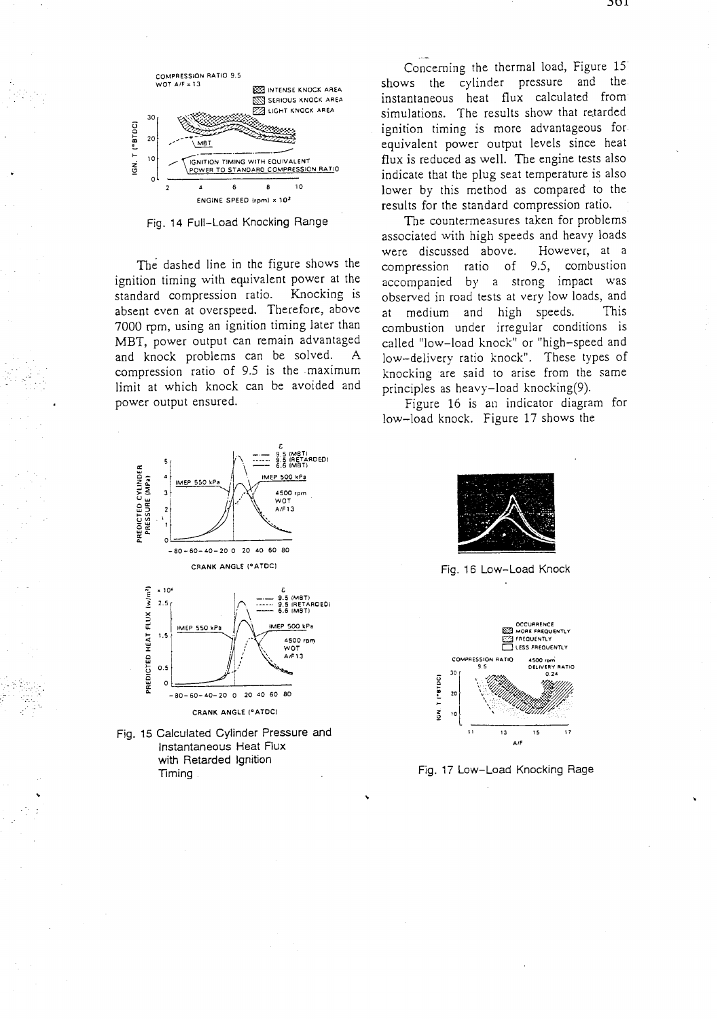

Fig. 14 Full-Load Knocking Range

**The** dashed line in the figure shows the ignition timing with equivalent power at the standard compression ratio. Knocking is absent even at overspeed. Therefore, above 7000 rpm, using an ignition timing later than MBT, power output can remain advantaged and knock problems can be solved. A compression ratio of 9.5 is the maximum limit at which knock can be avoided and power output ensured.



Fig. 15 Calculated Cylinder Pressure and Instantaneous Heat Flux with Retarded Ignition Timing

**CRANK ANGLE ("ATDC)** 

Concerning the thermal load, Figure 15 shows the cylinder pressure and the instantaneous heat flux calculated from simulations. The results show that retarded ignition timing is more advantageous for equivalent power output levels since heat flux is reduced as well. The engine tests also indicate that the plug seat temperature is also lower by this method as compared to the results for the standard compression ratio.

The countermeasures taken for problems associated with high speeds and heavy loads<br>were discussed above. However, at a were discussed above. compression ratio of 9.5, combustion accompanied by a strong impact was observed in road tests at very low loads, and at medium and high speeds. This combustion under irregular conditions is called "low-load knock" or "high-speed and low-delivery ratio knock". These types of knocking are said to arise from the same principles as heavy-load knocking(9).

Figure 16 is an indicator diagram for low-load knock. Figure 17 shows the



Fig. 16 Low-Load Knock



Fig. 17 Low-Load Knocking Rage